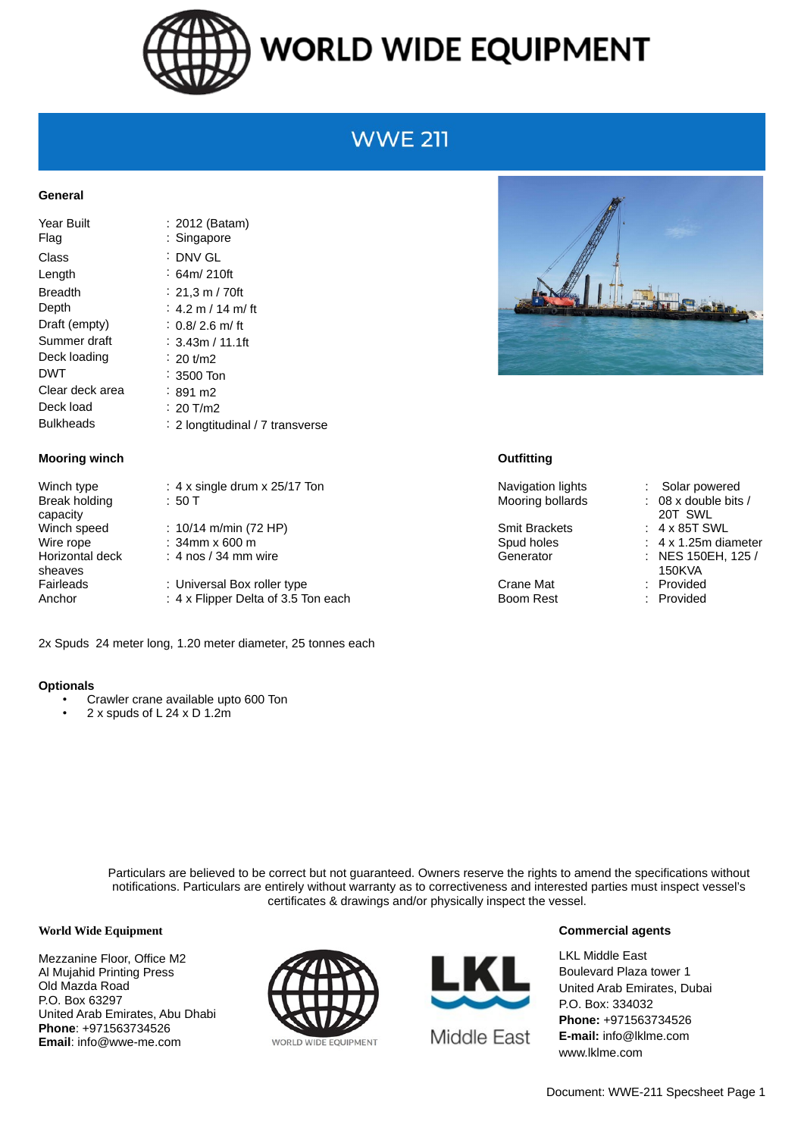

## **WORLD WIDE EQUIPMENT**

### **WWE 211**

#### **General**

| Year Built<br>Flaq | $: 2012$ (Batam)<br>: Singapore  |
|--------------------|----------------------------------|
| Class              | ∶ DNV GL                         |
| Length             | ∶ 64m/ 210ft                     |
| Breadth            | $: 21,3 \text{ m}$ / 70ft        |
| Depth              | : 4.2 m / 14 m/ ft               |
| Draft (empty)      | : $0.8/2.6$ m/ft                 |
| Summer draft       | : 3.43m / 11.1ft                 |
| Deck loading       | $\div$ 20 t/m2                   |
| DWT                | $\therefore$ 3500 Ton            |
| Clear deck area    | $: 891 \text{ m2}$               |
| Deck load          | : 20 T/m2                        |
| Bulkheads          | : 2 longtitudinal / 7 transverse |

#### **Mooring winch Outfitting**

Break holding capacity Horizontal deck sheaves

: 50 T Mooring bollards : 08 x double bits / Winch speed : 10/14 m/min (72 HP) Smit Brackets : 4 x 85T SWL Wire rope : 34mm x 600 m  $\cdot$  Spud holes : 4 x 1.25m diameter : 4 nos / 34 mm wire Generator : NES 150EH, 125 / Fairleads : Universal Box roller type Crane Mat Crane Mat : Provided Anchor : 4 x Flipper Delta of 3.5 Ton each Boom Rest : Provided

2x Spuds 24 meter long, 1.20 meter diameter, 25 tonnes each

#### **Optionals**

- Crawler crane available upto 600 Ton
- 2 x spuds of L 24 x D 1.2m



Winch type : 4 x single drum x 25/17 Ton Navigation lights : Solar powered

- 
- 20T SWL
- 
- 
- 
- 150KVA
- 

Particulars are believed to be correct but not guaranteed. Owners reserve the rights to amend the specifications without notifications. Particulars are entirely without warranty as to correctiveness and interested parties must inspect vessel's certificates & drawings and/or physically inspect the vessel.

#### **World Wide Equipment**

Mezzanine Floor, Office M2 Al Mujahid Printing Press Old Mazda Road P.O. Box 63297 United Arab Emirates, Abu Dhabi **Phone**: +971563734526 **Email**: info@wwe-me.com





#### **Commercial agents**

LKL Middle East Boulevard Plaza tower 1 United Arab Emirates, Dubai P.O. Box: 334032 **Phone:** +971563734526 **E-mail:** info@lklme.com www.lklme.com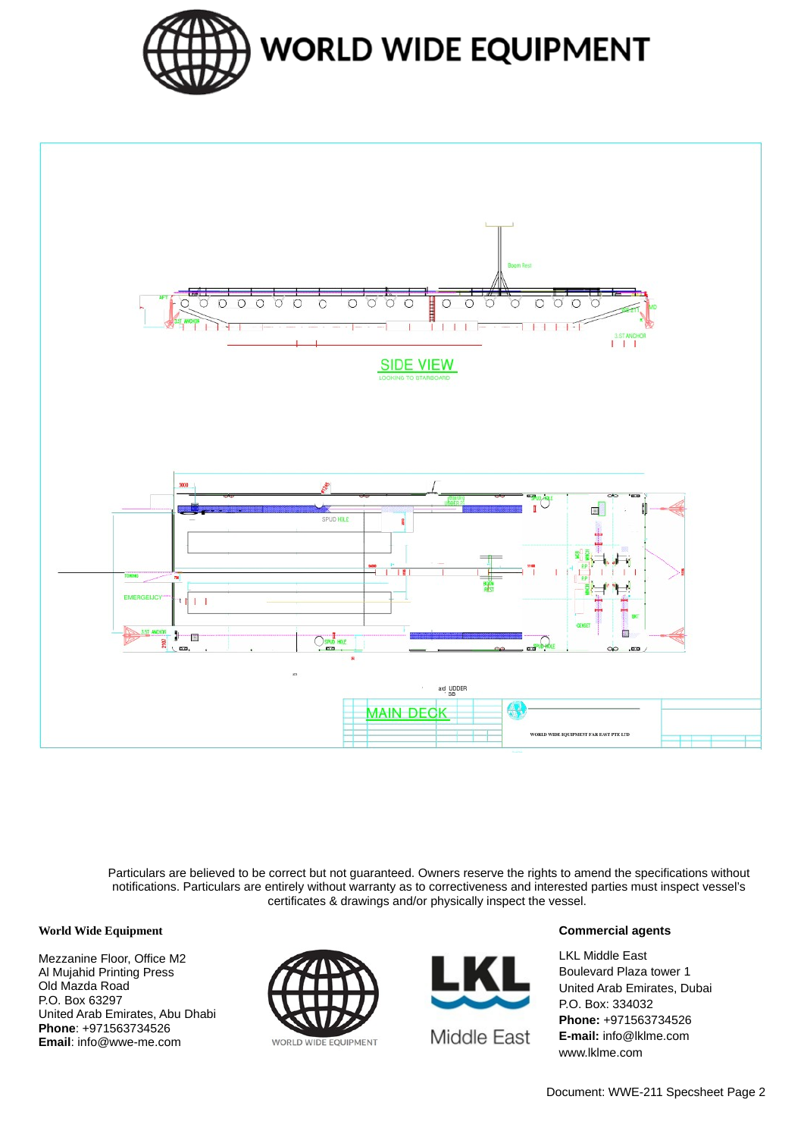



Particulars are believed to be correct but not guaranteed. Owners reserve the rights to amend the specifications without notifications. Particulars are entirely without warranty as to correctiveness and interested parties must inspect vessel's certificates & drawings and/or physically inspect the vessel.

#### **World Wide Equipment**

Mezzanine Floor, Office M2 Al Mujahid Printing Press Old Mazda Road P.O. Box 63297 United Arab Emirates, Abu Dhabi **Phone**: +971563734526 **Email**: info@wwe-me.com





#### **Commercial agents**

LKL Middle East Boulevard Plaza tower 1 United Arab Emirates, Dubai P.O. Box: 334032 **Phone:** +971563734526 **E-mail:** info@lklme.com www.lklme.com